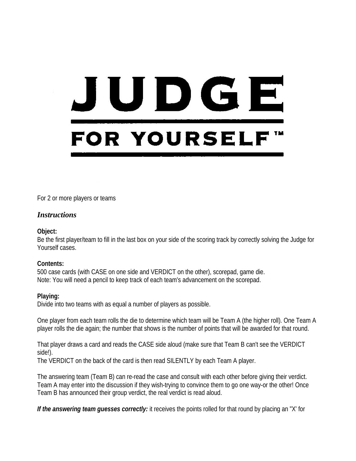# JUDGE **FOR YOURSELF™**

For 2 or more players or teams

# *Instructions*

### **Object:**

Be the first player/team to fill in the last box on your side of the scoring track by correctly solving the Judge for Yourself cases.

### **Contents:**

500 case cards (with CASE on one side and VERDICT on the other), scorepad, game die. Note: You will need a pencil to keep track of each team's advancement on the scorepad.

# **Playing:**

Divide into two teams with as equal a number of players as possible.

One player from each team rolls the die to determine which team will be Team A (the higher roll). One Team A player rolls the die again; the number that shows is the number of points that will be awarded for that round.

That player draws a card and reads the CASE side aloud (make sure that Team B can't see the VERDICT side!).

The VERDICT on the back of the card is then read SILENTLY by each Team A player.

The answering team (Team B) can re-read the case and consult with each other before giving their verdict. Team A may enter into the discussion if they wish-trying to convince them to go one way-or the other! Once Team B has announced their group verdict, the real verdict is read aloud.

*If the answering team guesses correctly:* it receives the points rolled for that round by placing an "X' for